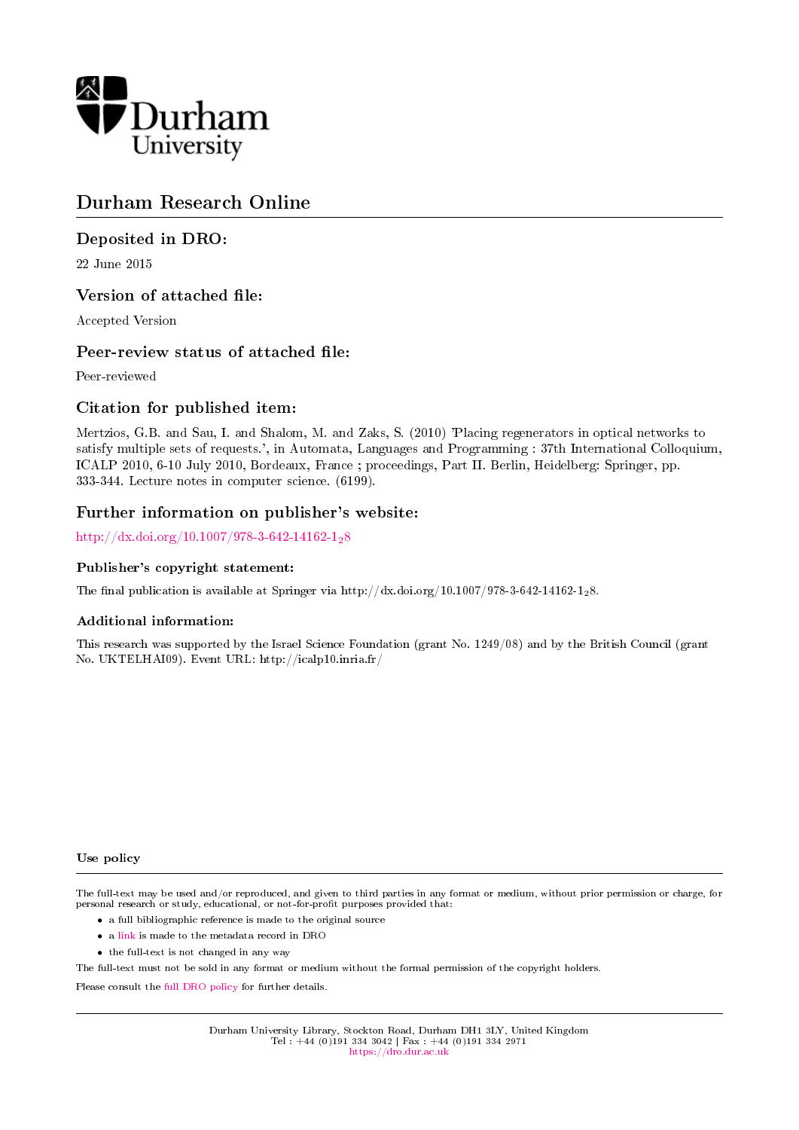

# Durham Research Online

# Deposited in DRO:

22 June 2015

# Version of attached file:

Accepted Version

# Peer-review status of attached file:

Peer-reviewed

# Citation for published item:

Mertzios, G.B. and Sau, I. and Shalom, M. and Zaks, S. (2010) 'Placing regenerators in optical networks to satisfy multiple sets of requests.', in Automata, Languages and Programming : 37th International Colloquium, ICALP 2010, 6-10 July 2010, Bordeaux, France ; proceedings, Part II. Berlin, Heidelberg: Springer, pp. 333-344. Lecture notes in computer science. (6199).

# Further information on publisher's website:

[http://dx.doi.org/10.1007/978-3-642-14162-1](http://dx.doi.org/10.1007/978-3-642-14162-1_28 )28

# Publisher's copyright statement:

The final publication is available at Springer via http://dx.doi.org/10.1007/978-3-642-14162-128.

# Additional information:

This research was supported by the Israel Science Foundation (grant No. 1249/08) and by the British Council (grant No. UKTELHAI09). Event URL: http://icalp10.inria.fr/

### Use policy

The full-text may be used and/or reproduced, and given to third parties in any format or medium, without prior permission or charge, for personal research or study, educational, or not-for-profit purposes provided that:

- a full bibliographic reference is made to the original source
- a [link](http://dro.dur.ac.uk/9282/) is made to the metadata record in DRO
- the full-text is not changed in any way

The full-text must not be sold in any format or medium without the formal permission of the copyright holders.

Please consult the [full DRO policy](https://dro.dur.ac.uk/policies/usepolicy.pdf) for further details.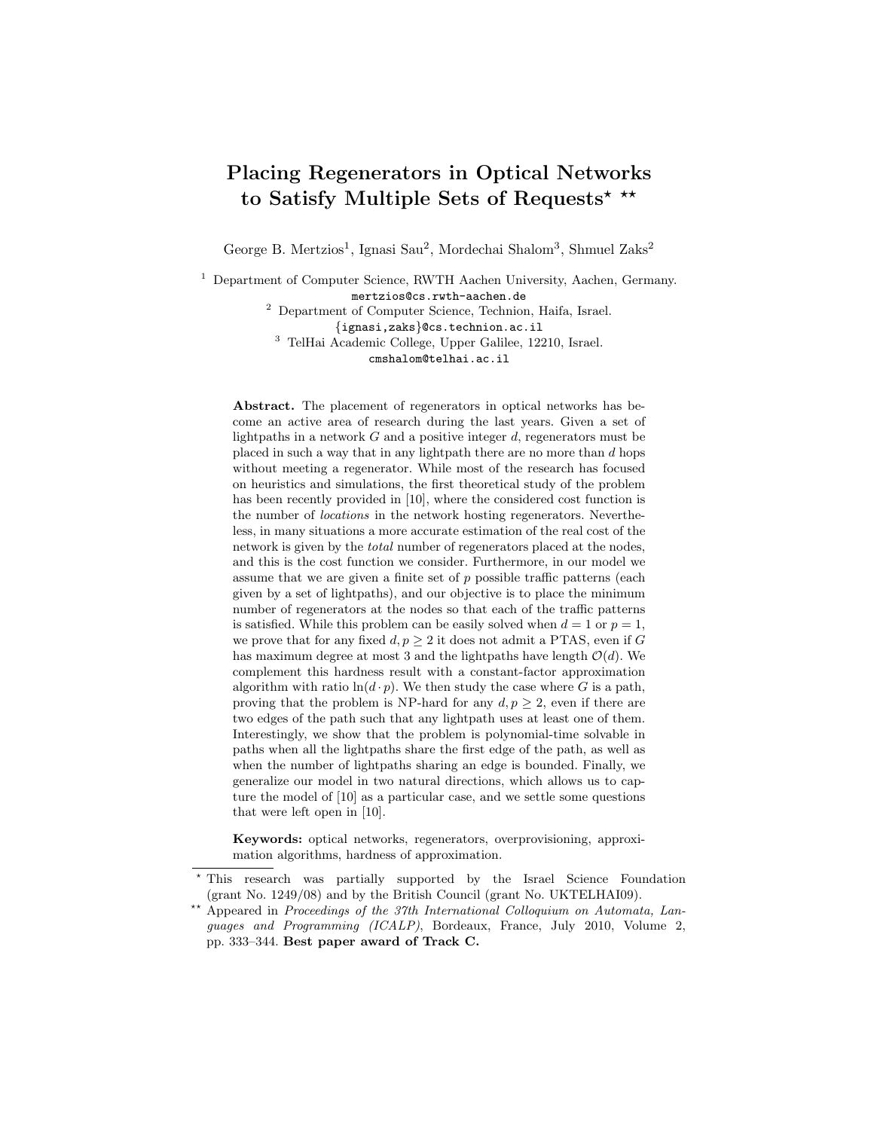# Placing Regenerators in Optical Networks to Satisfy Multiple Sets of Requests<sup>\*</sup> \*\*

George B. Mertzios<sup>1</sup>, Ignasi Sau<sup>2</sup>, Mordechai Shalom<sup>3</sup>, Shmuel Zaks<sup>2</sup>

<sup>1</sup> Department of Computer Science, RWTH Aachen University, Aachen, Germany.

mertzios@cs.rwth-aachen.de

<sup>2</sup> Department of Computer Science, Technion, Haifa, Israel. {ignasi,zaks}@cs.technion.ac.il <sup>3</sup> TelHai Academic College, Upper Galilee, 12210, Israel.

cmshalom@telhai.ac.il

Abstract. The placement of regenerators in optical networks has become an active area of research during the last years. Given a set of lightpaths in a network  $G$  and a positive integer  $d$ , regenerators must be placed in such a way that in any lightpath there are no more than d hops without meeting a regenerator. While most of the research has focused on heuristics and simulations, the first theoretical study of the problem has been recently provided in [10], where the considered cost function is the number of locations in the network hosting regenerators. Nevertheless, in many situations a more accurate estimation of the real cost of the network is given by the total number of regenerators placed at the nodes, and this is the cost function we consider. Furthermore, in our model we assume that we are given a finite set of  $p$  possible traffic patterns (each given by a set of lightpaths), and our objective is to place the minimum number of regenerators at the nodes so that each of the traffic patterns is satisfied. While this problem can be easily solved when  $d = 1$  or  $p = 1$ , we prove that for any fixed  $d, p \geq 2$  it does not admit a PTAS, even if G has maximum degree at most 3 and the lightpaths have length  $\mathcal{O}(d)$ . We complement this hardness result with a constant-factor approximation algorithm with ratio  $ln(d \cdot p)$ . We then study the case where G is a path, proving that the problem is NP-hard for any  $d, p \geq 2$ , even if there are two edges of the path such that any lightpath uses at least one of them. Interestingly, we show that the problem is polynomial-time solvable in paths when all the lightpaths share the first edge of the path, as well as when the number of lightpaths sharing an edge is bounded. Finally, we generalize our model in two natural directions, which allows us to capture the model of [10] as a particular case, and we settle some questions that were left open in [10].

Keywords: optical networks, regenerators, overprovisioning, approximation algorithms, hardness of approximation.

<sup>?</sup> This research was partially supported by the Israel Science Foundation (grant No. 1249/08) and by the British Council (grant No. UKTELHAI09).

<sup>\*\*</sup> Appeared in Proceedings of the 37th International Colloquium on Automata, Languages and Programming (ICALP), Bordeaux, France, July 2010, Volume 2, pp. 333–344. Best paper award of Track C.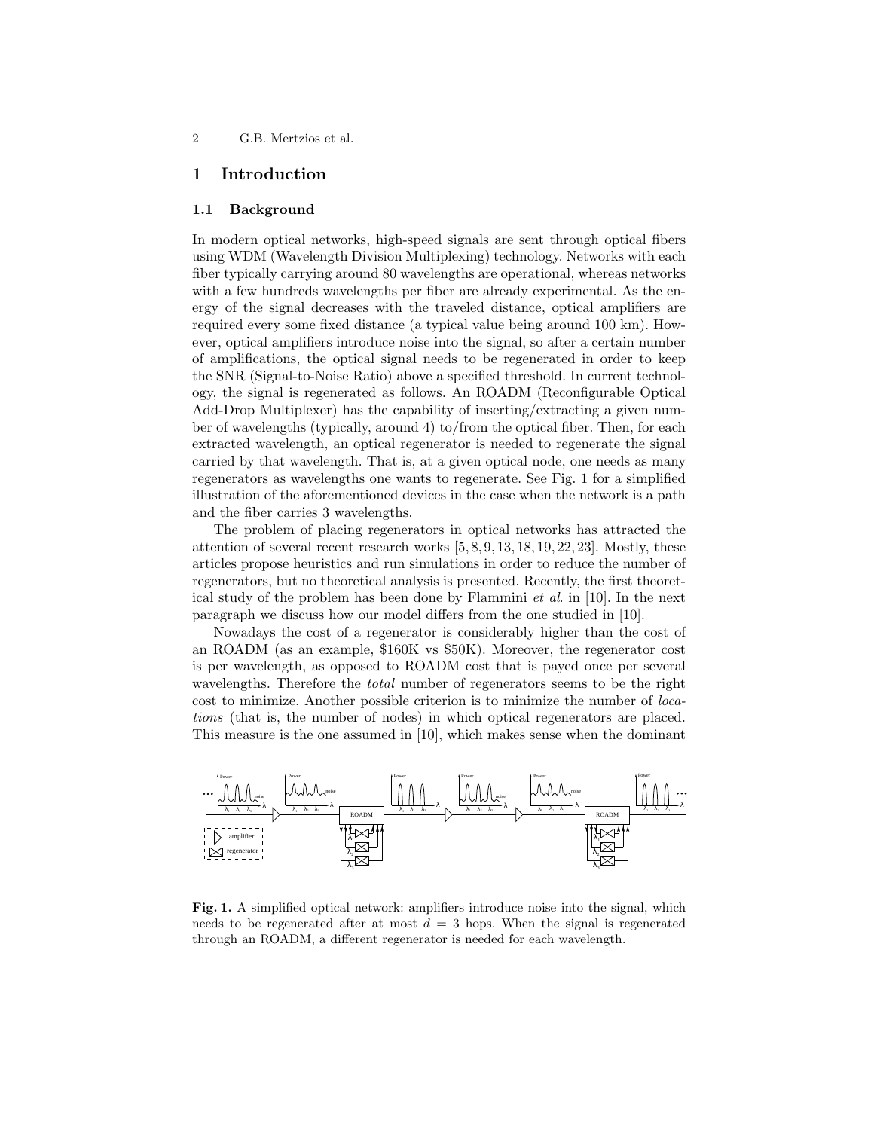## 1 Introduction

#### 1.1 Background

In modern optical networks, high-speed signals are sent through optical fibers using WDM (Wavelength Division Multiplexing) technology. Networks with each fiber typically carrying around 80 wavelengths are operational, whereas networks with a few hundreds wavelengths per fiber are already experimental. As the energy of the signal decreases with the traveled distance, optical amplifiers are required every some fixed distance (a typical value being around 100 km). However, optical amplifiers introduce noise into the signal, so after a certain number of amplifications, the optical signal needs to be regenerated in order to keep the SNR (Signal-to-Noise Ratio) above a specified threshold. In current technology, the signal is regenerated as follows. An ROADM (Reconfigurable Optical Add-Drop Multiplexer) has the capability of inserting/extracting a given number of wavelengths (typically, around 4) to/from the optical fiber. Then, for each extracted wavelength, an optical regenerator is needed to regenerate the signal carried by that wavelength. That is, at a given optical node, one needs as many regenerators as wavelengths one wants to regenerate. See Fig. 1 for a simplified illustration of the aforementioned devices in the case when the network is a path and the fiber carries 3 wavelengths.

The problem of placing regenerators in optical networks has attracted the attention of several recent research works [5, 8, 9, 13, 18, 19, 22, 23]. Mostly, these articles propose heuristics and run simulations in order to reduce the number of regenerators, but no theoretical analysis is presented. Recently, the first theoretical study of the problem has been done by Flammini  $et \ al.$  in [10]. In the next paragraph we discuss how our model differs from the one studied in [10].

Nowadays the cost of a regenerator is considerably higher than the cost of an ROADM (as an example, \$160K vs \$50K). Moreover, the regenerator cost is per wavelength, as opposed to ROADM cost that is payed once per several wavelengths. Therefore the *total* number of regenerators seems to be the right cost to minimize. Another possible criterion is to minimize the number of locations (that is, the number of nodes) in which optical regenerators are placed. This measure is the one assumed in [10], which makes sense when the dominant



Fig. 1. A simplified optical network: amplifiers introduce noise into the signal, which needs to be regenerated after at most  $d = 3$  hops. When the signal is regenerated through an ROADM, a different regenerator is needed for each wavelength.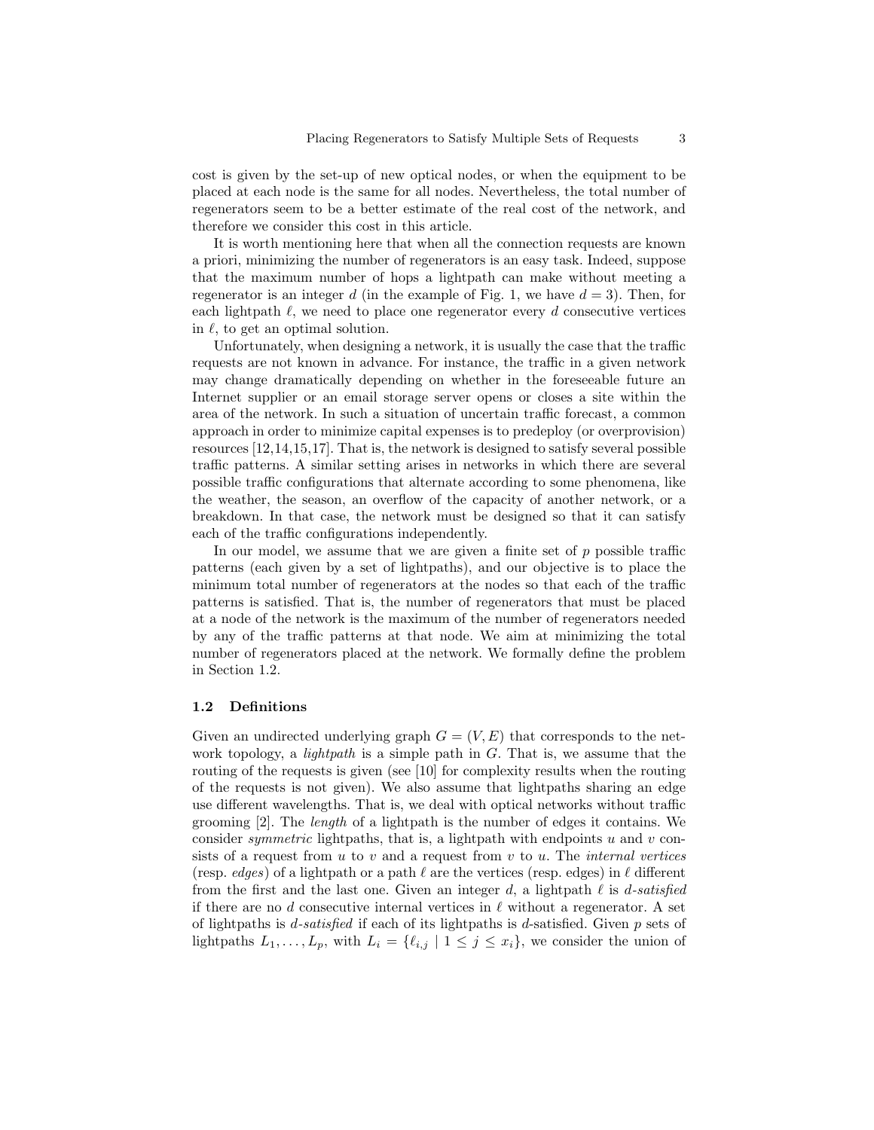cost is given by the set-up of new optical nodes, or when the equipment to be placed at each node is the same for all nodes. Nevertheless, the total number of regenerators seem to be a better estimate of the real cost of the network, and therefore we consider this cost in this article.

It is worth mentioning here that when all the connection requests are known a priori, minimizing the number of regenerators is an easy task. Indeed, suppose that the maximum number of hops a lightpath can make without meeting a regenerator is an integer d (in the example of Fig. 1, we have  $d = 3$ ). Then, for each lightpath  $\ell$ , we need to place one regenerator every d consecutive vertices in  $\ell$ , to get an optimal solution.

Unfortunately, when designing a network, it is usually the case that the traffic requests are not known in advance. For instance, the traffic in a given network may change dramatically depending on whether in the foreseeable future an Internet supplier or an email storage server opens or closes a site within the area of the network. In such a situation of uncertain traffic forecast, a common approach in order to minimize capital expenses is to predeploy (or overprovision) resources [12,14,15,17]. That is, the network is designed to satisfy several possible traffic patterns. A similar setting arises in networks in which there are several possible traffic configurations that alternate according to some phenomena, like the weather, the season, an overflow of the capacity of another network, or a breakdown. In that case, the network must be designed so that it can satisfy each of the traffic configurations independently.

In our model, we assume that we are given a finite set of  $p$  possible traffic patterns (each given by a set of lightpaths), and our objective is to place the minimum total number of regenerators at the nodes so that each of the traffic patterns is satisfied. That is, the number of regenerators that must be placed at a node of the network is the maximum of the number of regenerators needed by any of the traffic patterns at that node. We aim at minimizing the total number of regenerators placed at the network. We formally define the problem in Section 1.2.

### 1.2 Definitions

Given an undirected underlying graph  $G = (V, E)$  that corresponds to the network topology, a *lightpath* is a simple path in  $G$ . That is, we assume that the routing of the requests is given (see [10] for complexity results when the routing of the requests is not given). We also assume that lightpaths sharing an edge use different wavelengths. That is, we deal with optical networks without traffic grooming [2]. The length of a lightpath is the number of edges it contains. We consider *symmetric* lightpaths, that is, a lightpath with endpoints u and v consists of a request from  $u$  to  $v$  and a request from  $v$  to  $u$ . The *internal vertices* (resp. edges) of a lightpath or a path  $\ell$  are the vertices (resp. edges) in  $\ell$  different from the first and the last one. Given an integer d, a lightpath  $\ell$  is d-satisfied if there are no d consecutive internal vertices in  $\ell$  without a regenerator. A set of lightpaths is  $d$ -satisfied if each of its lightpaths is  $d$ -satisfied. Given  $p$  sets of lightpaths  $L_1, \ldots, L_p$ , with  $L_i = \{ \ell_{i,j} \mid 1 \leq j \leq x_i \}$ , we consider the union of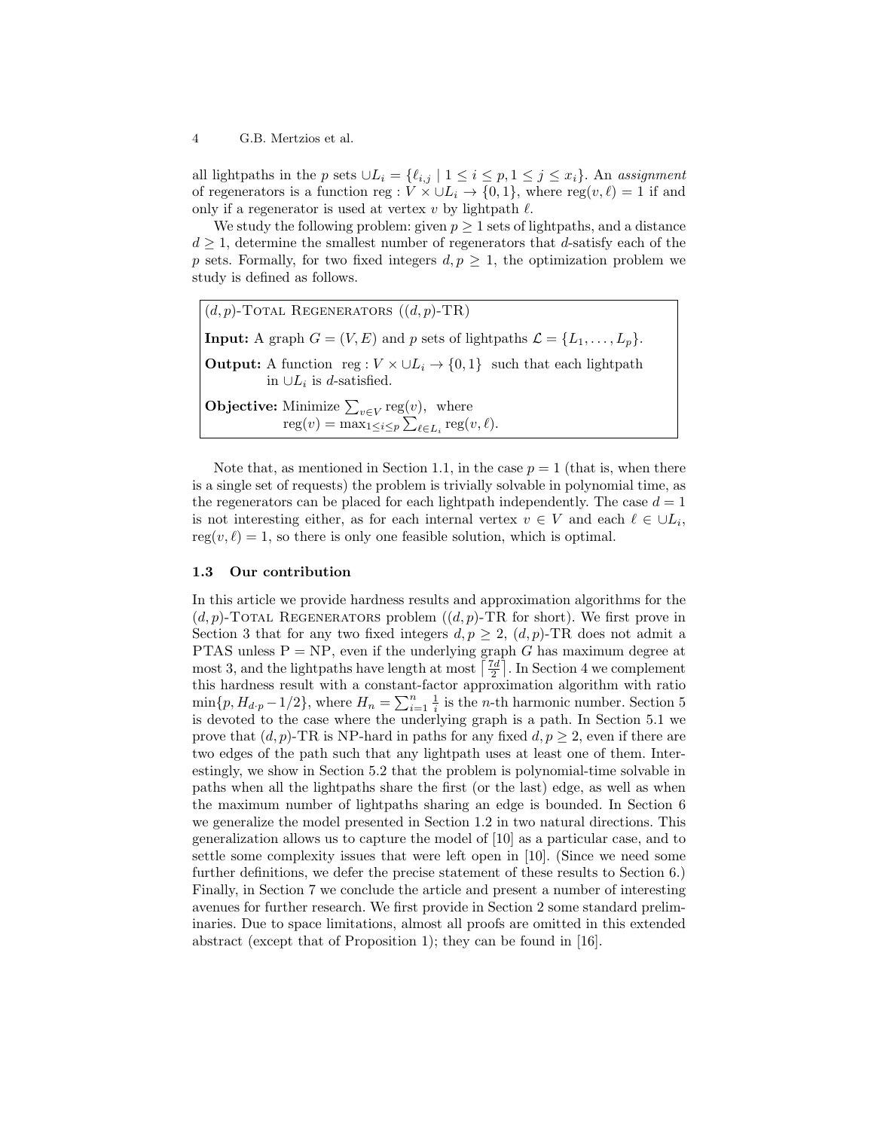all lightpaths in the p sets  $\cup L_i = \{ \ell_{i,j} | 1 \leq i \leq p, 1 \leq j \leq x_i \}.$  An assignment of regenerators is a function reg :  $V \times \cup L_i \rightarrow \{0, 1\}$ , where reg $(v, \ell) = 1$  if and only if a regenerator is used at vertex  $v$  by lightpath  $\ell$ .

We study the following problem: given  $p \geq 1$  sets of lightpaths, and a distance  $d \geq 1$ , determine the smallest number of regenerators that d-satisfy each of the p sets. Formally, for two fixed integers  $d, p \geq 1$ , the optimization problem we study is defined as follows.

 $(d, p)$ -Total Regenerators  $((d, p)$ -TR) **Input:** A graph  $G = (V, E)$  and p sets of lightpaths  $\mathcal{L} = \{L_1, \ldots, L_p\}.$ **Output:** A function reg :  $V \times \cup L_i \rightarrow \{0, 1\}$  such that each lightpath in  $\cup L_i$  is *d*-satisfied. **Objective:** Minimize  $\sum_{v \in V} \text{reg}(v)$ , where  $reg(v) = \max_{1 \leq i \leq p} \sum_{\ell \in L_i} reg(v, \ell).$ 

Note that, as mentioned in Section 1.1, in the case  $p = 1$  (that is, when there is a single set of requests) the problem is trivially solvable in polynomial time, as the regenerators can be placed for each lightpath independently. The case  $d = 1$ is not interesting either, as for each internal vertex  $v \in V$  and each  $\ell \in \cup L_i$ ,  $reg(v, \ell) = 1$ , so there is only one feasible solution, which is optimal.

#### 1.3 Our contribution

In this article we provide hardness results and approximation algorithms for the  $(d, p)$ -Total REGENERATORS problem  $((d, p)$ -TR for short). We first prove in Section 3 that for any two fixed integers  $d, p \geq 2$ ,  $(d, p)$ -TR does not admit a PTAS unless  $P = NP$ , even if the underlying graph G has maximum degree at most 3, and the lightpaths have length at most  $\lceil \frac{7d}{2} \rceil$ . In Section 4 we complement this hardness result with a constant-factor approximation algorithm with ratio  $\min\{p, H_{d\cdot p} - 1/2\}$ , where  $H_n = \sum_{i=1}^n \frac{1}{i}$  is the *n*-th harmonic number. Section 5 is devoted to the case where the underlying graph is a path. In Section 5.1 we prove that  $(d, p)$ -TR is NP-hard in paths for any fixed  $d, p \geq 2$ , even if there are two edges of the path such that any lightpath uses at least one of them. Interestingly, we show in Section 5.2 that the problem is polynomial-time solvable in paths when all the lightpaths share the first (or the last) edge, as well as when the maximum number of lightpaths sharing an edge is bounded. In Section 6 we generalize the model presented in Section 1.2 in two natural directions. This generalization allows us to capture the model of [10] as a particular case, and to settle some complexity issues that were left open in [10]. (Since we need some further definitions, we defer the precise statement of these results to Section 6.) Finally, in Section 7 we conclude the article and present a number of interesting avenues for further research. We first provide in Section 2 some standard preliminaries. Due to space limitations, almost all proofs are omitted in this extended abstract (except that of Proposition 1); they can be found in [16].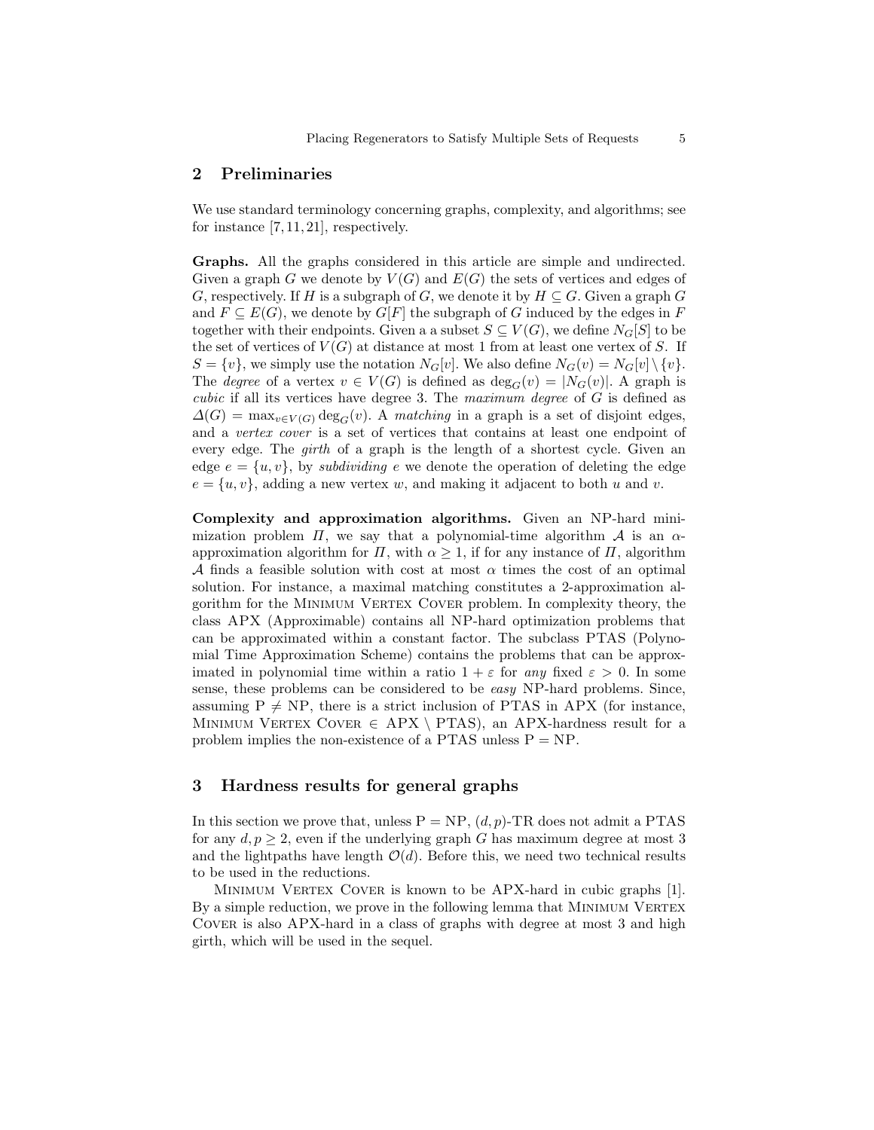# 2 Preliminaries

We use standard terminology concerning graphs, complexity, and algorithms; see for instance [7, 11, 21], respectively.

Graphs. All the graphs considered in this article are simple and undirected. Given a graph G we denote by  $V(G)$  and  $E(G)$  the sets of vertices and edges of G, respectively. If H is a subgraph of G, we denote it by  $H \subseteq G$ . Given a graph G and  $F \subseteq E(G)$ , we denote by  $G[F]$  the subgraph of G induced by the edges in F together with their endpoints. Given a a subset  $S \subseteq V(G)$ , we define  $N_G[S]$  to be the set of vertices of  $V(G)$  at distance at most 1 from at least one vertex of S. If  $S = \{v\}$ , we simply use the notation  $N_G[v]$ . We also define  $N_G(v) = N_G[v] \setminus \{v\}$ . The *degree* of a vertex  $v \in V(G)$  is defined as  $\deg_G(v) = |N_G(v)|$ . A graph is cubic if all its vertices have degree 3. The maximum degree of G is defined as  $\Delta(G) = \max_{v \in V(G)} \deg_G(v)$ . A matching in a graph is a set of disjoint edges, and a vertex cover is a set of vertices that contains at least one endpoint of every edge. The girth of a graph is the length of a shortest cycle. Given an edge  $e = \{u, v\}$ , by subdividing e we denote the operation of deleting the edge  $e = \{u, v\}$ , adding a new vertex w, and making it adjacent to both u and v.

Complexity and approximation algorithms. Given an NP-hard minimization problem  $\Pi$ , we say that a polynomial-time algorithm  $\mathcal A$  is an  $\alpha$ approximation algorithm for  $\Pi$ , with  $\alpha \geq 1$ , if for any instance of  $\Pi$ , algorithm A finds a feasible solution with cost at most  $\alpha$  times the cost of an optimal solution. For instance, a maximal matching constitutes a 2-approximation algorithm for the MINIMUM VERTEX COVER problem. In complexity theory, the class APX (Approximable) contains all NP-hard optimization problems that can be approximated within a constant factor. The subclass PTAS (Polynomial Time Approximation Scheme) contains the problems that can be approximated in polynomial time within a ratio  $1 + \varepsilon$  for any fixed  $\varepsilon > 0$ . In some sense, these problems can be considered to be *easy* NP-hard problems. Since, assuming  $P \neq NP$ , there is a strict inclusion of PTAS in APX (for instance, MINIMUM VERTEX COVER  $\in$  APX \ PTAS), an APX-hardness result for a problem implies the non-existence of a PTAS unless  $P = NP$ .

### 3 Hardness results for general graphs

In this section we prove that, unless  $P = NP$ ,  $(d, p)$ -TR does not admit a PTAS for any  $d, p \geq 2$ , even if the underlying graph G has maximum degree at most 3 and the lightpaths have length  $\mathcal{O}(d)$ . Before this, we need two technical results to be used in the reductions.

Minimum Vertex Cover is known to be APX-hard in cubic graphs [1]. By a simple reduction, we prove in the following lemma that MINIMUM VERTEX Cover is also APX-hard in a class of graphs with degree at most 3 and high girth, which will be used in the sequel.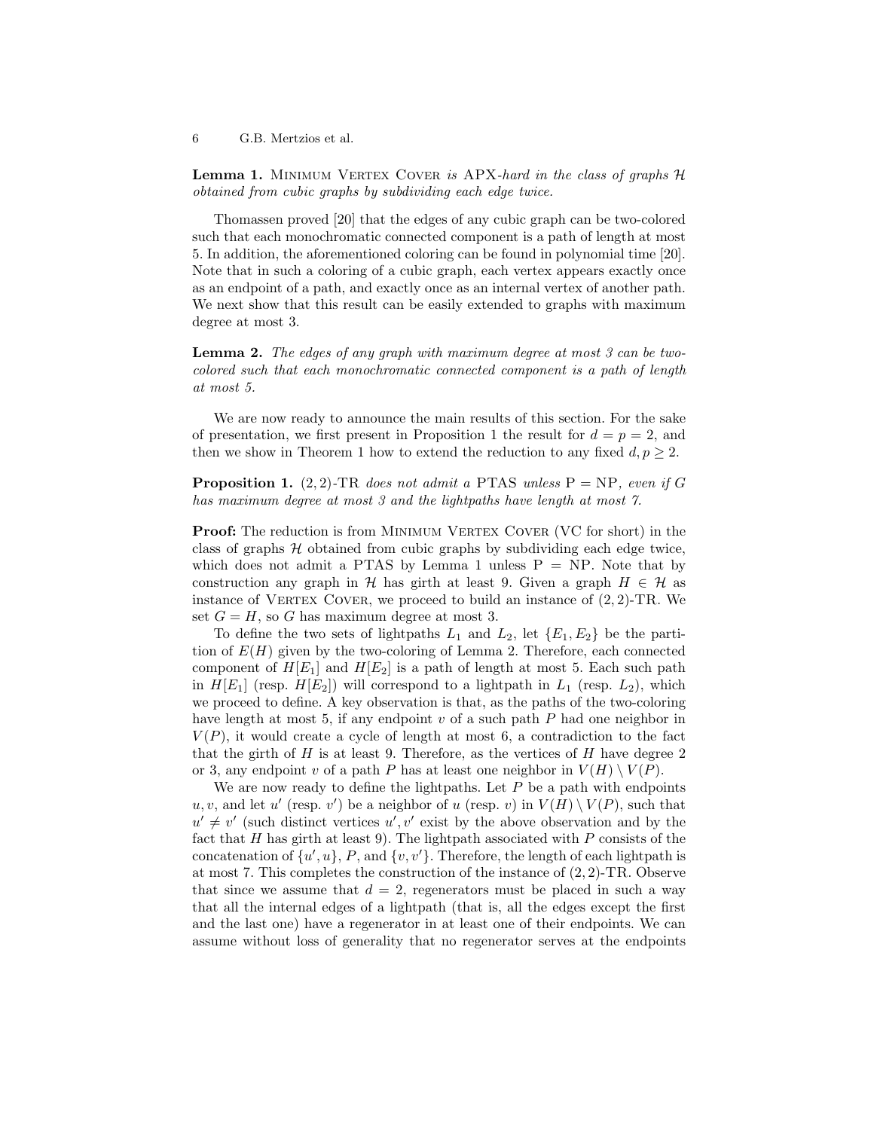**Lemma 1.** MINIMUM VERTEX COVER is APX-hard in the class of graphs  $H$ obtained from cubic graphs by subdividing each edge twice.

Thomassen proved [20] that the edges of any cubic graph can be two-colored such that each monochromatic connected component is a path of length at most 5. In addition, the aforementioned coloring can be found in polynomial time [20]. Note that in such a coloring of a cubic graph, each vertex appears exactly once as an endpoint of a path, and exactly once as an internal vertex of another path. We next show that this result can be easily extended to graphs with maximum degree at most 3.

**Lemma 2.** The edges of any graph with maximum degree at most  $3$  can be twocolored such that each monochromatic connected component is a path of length at most 5.

We are now ready to announce the main results of this section. For the sake of presentation, we first present in Proposition 1 the result for  $d = p = 2$ , and then we show in Theorem 1 how to extend the reduction to any fixed  $d, p \geq 2$ .

**Proposition 1.** (2, 2)-TR does not admit a PTAS unless  $P = NP$ , even if G has maximum degree at most 3 and the lightpaths have length at most 7.

**Proof:** The reduction is from MINIMUM VERTEX COVER (VC for short) in the class of graphs  $H$  obtained from cubic graphs by subdividing each edge twice, which does not admit a PTAS by Lemma 1 unless  $P = NP$ . Note that by construction any graph in H has girth at least 9. Given a graph  $H \in \mathcal{H}$  as instance of VERTEX COVER, we proceed to build an instance of  $(2, 2)$ -TR. We set  $G = H$ , so G has maximum degree at most 3.

To define the two sets of lightpaths  $L_1$  and  $L_2$ , let  $\{E_1, E_2\}$  be the partition of  $E(H)$  given by the two-coloring of Lemma 2. Therefore, each connected component of  $H[E_1]$  and  $H[E_2]$  is a path of length at most 5. Each such path in  $H[E_1]$  (resp.  $H[E_2]$ ) will correspond to a lightpath in  $L_1$  (resp.  $L_2$ ), which we proceed to define. A key observation is that, as the paths of the two-coloring have length at most 5, if any endpoint  $v$  of a such path  $P$  had one neighbor in  $V(P)$ , it would create a cycle of length at most 6, a contradiction to the fact that the girth of  $H$  is at least 9. Therefore, as the vertices of  $H$  have degree 2 or 3, any endpoint v of a path P has at least one neighbor in  $V(H) \setminus V(P)$ .

We are now ready to define the lightpaths. Let  $P$  be a path with endpoints u, v, and let u' (resp. v') be a neighbor of u (resp. v) in  $V(H) \setminus V(P)$ , such that  $u' \neq v'$  (such distinct vertices  $u', v'$  exist by the above observation and by the fact that  $H$  has girth at least 9). The lightpath associated with  $P$  consists of the concatenation of  $\{u', u\}$ , P, and  $\{v, v'\}$ . Therefore, the length of each lightpath is at most 7. This completes the construction of the instance of  $(2, 2)$ -TR. Observe that since we assume that  $d = 2$ , regenerators must be placed in such a way that all the internal edges of a lightpath (that is, all the edges except the first and the last one) have a regenerator in at least one of their endpoints. We can assume without loss of generality that no regenerator serves at the endpoints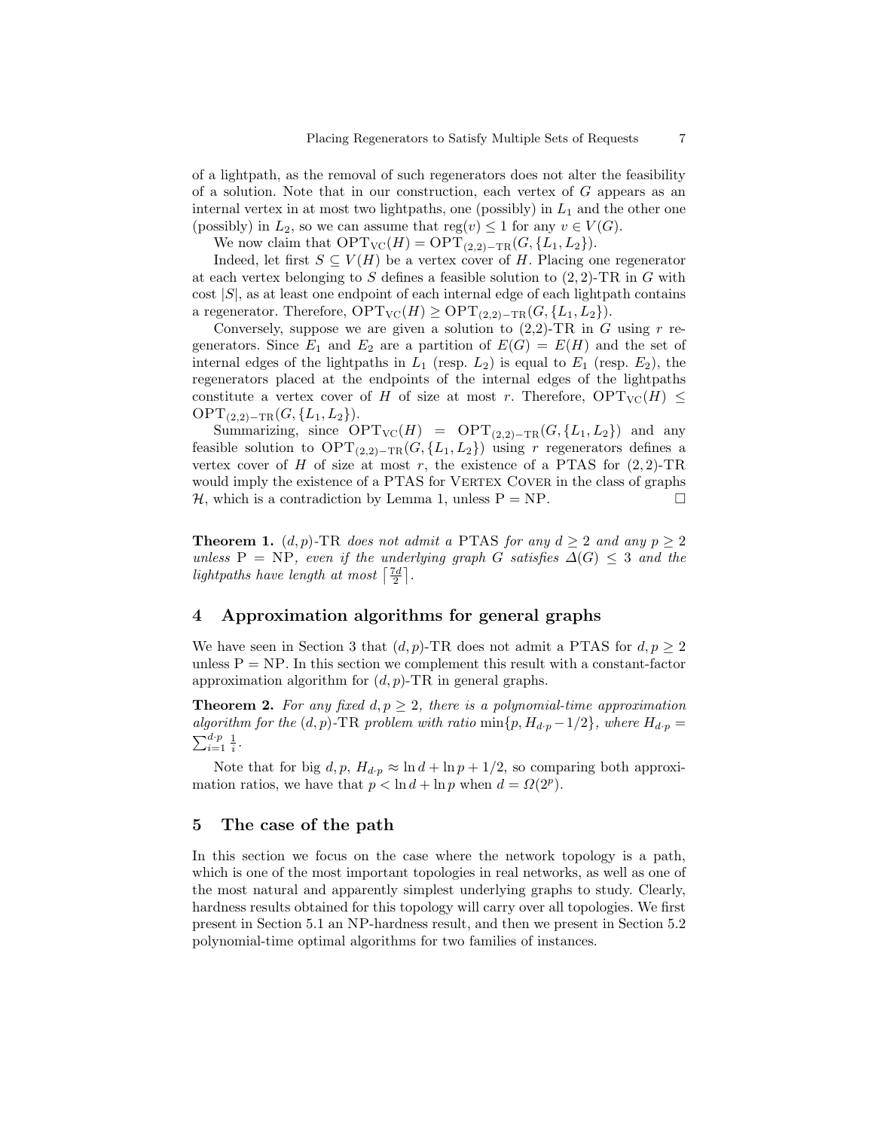of a lightpath, as the removal of such regenerators does not alter the feasibility of a solution. Note that in our construction, each vertex of G appears as an internal vertex in at most two lightpaths, one (possibly) in  $L_1$  and the other one (possibly) in  $L_2$ , so we can assume that  $reg(v) \leq 1$  for any  $v \in V(G)$ .

We now claim that  $\text{OPT}_{\text{VC}}(H) = \text{OPT}_{(2,2)-\text{TR}}(G, \{L_1, L_2\}).$ 

Indeed, let first  $S \subseteq V(H)$  be a vertex cover of H. Placing one regenerator at each vertex belonging to S defines a feasible solution to  $(2, 2)$ -TR in G with  $\text{cost } |S|$ , as at least one endpoint of each internal edge of each lightpath contains a regenerator. Therefore,  $\text{OPT}_{\text{VC}}(H) \ge \text{OPT}_{(2,2)-\text{TR}}(G, \{L_1, L_2\}).$ 

Conversely, suppose we are given a solution to  $(2,2)$ -TR in G using r regenerators. Since  $E_1$  and  $E_2$  are a partition of  $E(G) = E(H)$  and the set of internal edges of the lightpaths in  $L_1$  (resp.  $L_2$ ) is equal to  $E_1$  (resp.  $E_2$ ), the regenerators placed at the endpoints of the internal edges of the lightpaths constitute a vertex cover of H of size at most r. Therefore,  $\text{OPT}_{\text{VC}}(H) \leq$  $\mathrm{OPT}_{(2,2)-TR}(G,\{L_1,L_2\}).$ 

Summarizing, since  $\text{OPT}_{\text{VC}}(H) = \text{OPT}_{(2,2)-\text{TR}}(G, \{L_1, L_2\})$  and any feasible solution to  $\text{OPT}_{(2,2)-TR}(G, \{L_1, L_2\})$  using r regenerators defines a vertex cover of H of size at most r, the existence of a PTAS for  $(2, 2)$ -TR would imply the existence of a PTAS for VERTEX COVER in the class of graphs  $\mathcal{H}$ , which is a contradiction by Lemma 1, unless  $P = NP$ .

**Theorem 1.**  $(d, p)$ -TR does not admit a PTAS for any  $d \ge 2$  and any  $p \ge 2$ unless P = NP, even if the underlying graph G satisfies  $\Delta(G) \leq 3$  and the lightpaths have length at most  $\lceil \frac{7d}{2} \rceil$ .

# 4 Approximation algorithms for general graphs

We have seen in Section 3 that  $(d, p)$ -TR does not admit a PTAS for  $d, p \geq 2$ unless  $P = NP$ . In this section we complement this result with a constant-factor approximation algorithm for  $(d, p)$ -TR in general graphs.

**Theorem 2.** For any fixed  $d, p \geq 2$ , there is a polynomial-time approximation algorithm for the  $(d, p)$ -TR problem with ratio min $\{p, H_{d\cdot p} - 1/2\}$ , where  $H_{d\cdot p} =$  $\sum_{i=1}^{d \cdot p} \frac{1}{i}$ .

Note that for big  $d, p, H_{d,p} \approx \ln d + \ln p + 1/2$ , so comparing both approximation ratios, we have that  $p < \ln d + \ln p$  when  $d = \Omega(2^p)$ .

#### 5 The case of the path

In this section we focus on the case where the network topology is a path, which is one of the most important topologies in real networks, as well as one of the most natural and apparently simplest underlying graphs to study. Clearly, hardness results obtained for this topology will carry over all topologies. We first present in Section 5.1 an NP-hardness result, and then we present in Section 5.2 polynomial-time optimal algorithms for two families of instances.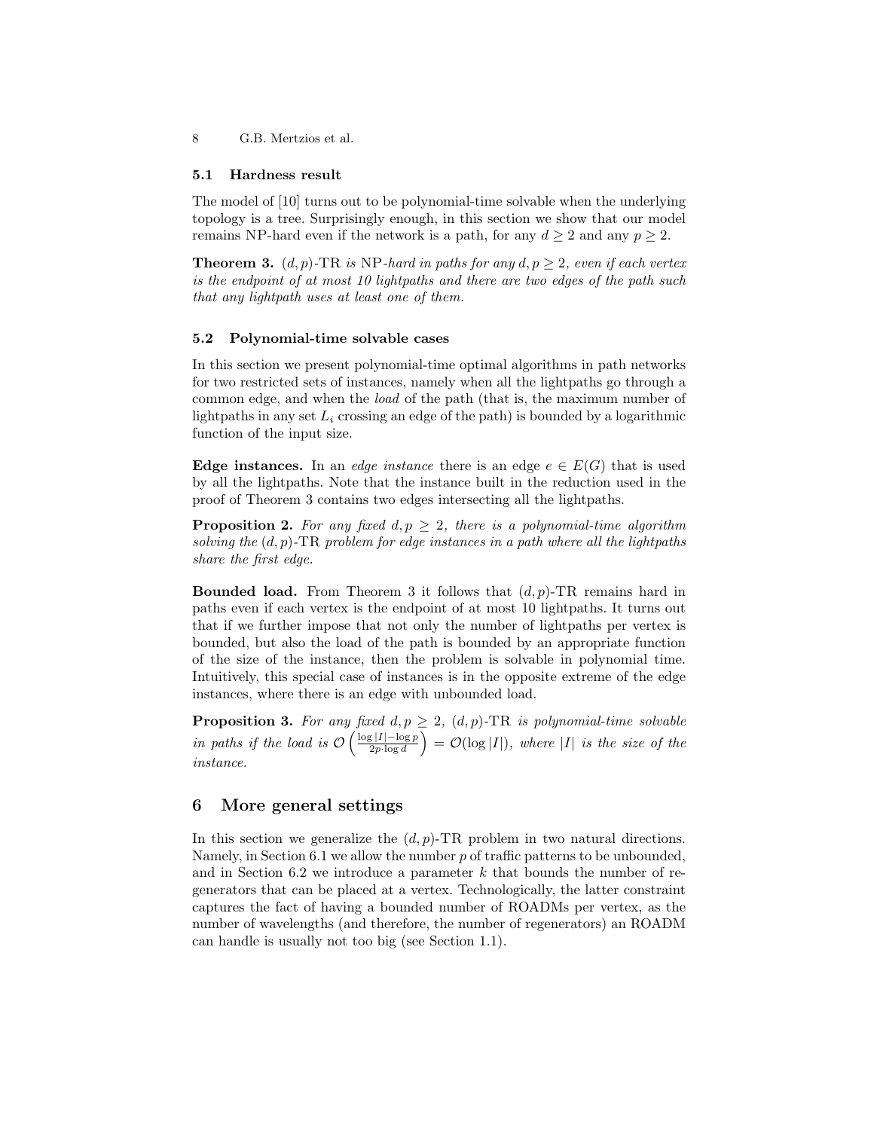#### 5.1 Hardness result

The model of [10] turns out to be polynomial-time solvable when the underlying topology is a tree. Surprisingly enough, in this section we show that our model remains NP-hard even if the network is a path, for any  $d \geq 2$  and any  $p \geq 2$ .

**Theorem 3.** (d, p)-TR is NP-hard in paths for any d,  $p > 2$ , even if each vertex is the endpoint of at most 10 lightpaths and there are two edges of the path such that any lightpath uses at least one of them.

#### 5.2 Polynomial-time solvable cases

In this section we present polynomial-time optimal algorithms in path networks for two restricted sets of instances, namely when all the lightpaths go through a common edge, and when the load of the path (that is, the maximum number of lightpaths in any set  $L_i$  crossing an edge of the path) is bounded by a logarithmic function of the input size.

Edge instances. In an *edge instance* there is an edge  $e \in E(G)$  that is used by all the lightpaths. Note that the instance built in the reduction used in the proof of Theorem 3 contains two edges intersecting all the lightpaths.

**Proposition 2.** For any fixed  $d, p \geq 2$ , there is a polynomial-time algorithm solving the  $(d, p)$ -TR problem for edge instances in a path where all the lightpaths share the first edge.

**Bounded load.** From Theorem 3 it follows that  $(d, p)$ -TR remains hard in paths even if each vertex is the endpoint of at most 10 lightpaths. It turns out that if we further impose that not only the number of lightpaths per vertex is bounded, but also the load of the path is bounded by an appropriate function of the size of the instance, then the problem is solvable in polynomial time. Intuitively, this special case of instances is in the opposite extreme of the edge instances, where there is an edge with unbounded load.

**Proposition 3.** For any fixed  $d, p \geq 2$ ,  $(d, p)$ -TR is polynomial-time solvable in paths if the load is  $\mathcal{O}\left(\frac{\log |I| - \log p}{2n \log d}\right)$  $\frac{2p \cdot |I| - \log p}{2p \cdot \log d} = \mathcal{O}(\log |I|)$ , where |I| is the size of the instance.

### 6 More general settings

In this section we generalize the  $(d, p)$ -TR problem in two natural directions. Namely, in Section 6.1 we allow the number p of traffic patterns to be unbounded, and in Section 6.2 we introduce a parameter  $k$  that bounds the number of regenerators that can be placed at a vertex. Technologically, the latter constraint captures the fact of having a bounded number of ROADMs per vertex, as the number of wavelengths (and therefore, the number of regenerators) an ROADM can handle is usually not too big (see Section 1.1).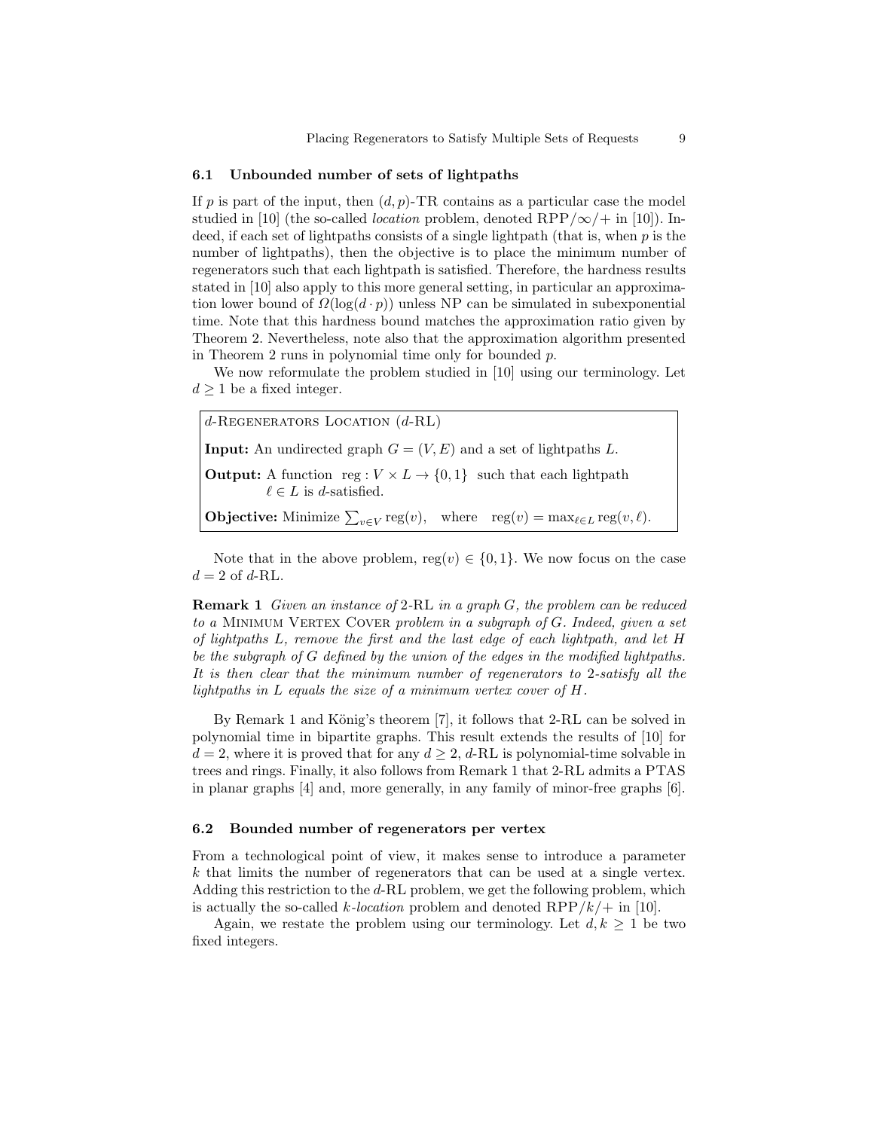#### 6.1 Unbounded number of sets of lightpaths

If p is part of the input, then  $(d, p)$ -TR contains as a particular case the model studied in [10] (the so-called *location* problem, denoted  $\text{RPP}/\infty$ /+ in [10]). Indeed, if each set of lightpaths consists of a single lightpath (that is, when  $p$  is the number of lightpaths), then the objective is to place the minimum number of regenerators such that each lightpath is satisfied. Therefore, the hardness results stated in [10] also apply to this more general setting, in particular an approximation lower bound of  $\Omega(\log(d \cdot p))$  unless NP can be simulated in subexponential time. Note that this hardness bound matches the approximation ratio given by Theorem 2. Nevertheless, note also that the approximation algorithm presented in Theorem 2 runs in polynomial time only for bounded p.

We now reformulate the problem studied in [10] using our terminology. Let  $d \geq 1$  be a fixed integer.

 $d$ -REGENERATORS LOCATION  $(d$ -RL) **Input:** An undirected graph  $G = (V, E)$  and a set of lightpaths L. **Output:** A function reg :  $V \times L \rightarrow \{0, 1\}$  such that each lightpath  $\ell \in L$  is d-satisfied. **Objective:** Minimize  $\sum_{v \in V} \text{reg}(v)$ , where  $\text{reg}(v) = \max_{\ell \in L} \text{reg}(v, \ell)$ .

Note that in the above problem, reg $(v) \in \{0,1\}$ . We now focus on the case  $d = 2$  of  $d$ -RL.

**Remark 1** Given an instance of 2-RL in a graph G, the problem can be reduced to a MINIMUM VERTEX COVER problem in a subgraph of  $G$ . Indeed, given a set of lightpaths L, remove the first and the last edge of each lightpath, and let H be the subgraph of G defined by the union of the edges in the modified lightpaths. It is then clear that the minimum number of regenerators to 2-satisfy all the lightpaths in L equals the size of a minimum vertex cover of H.

By Remark 1 and König's theorem [7], it follows that 2-RL can be solved in polynomial time in bipartite graphs. This result extends the results of [10] for  $d = 2$ , where it is proved that for any  $d \geq 2$ , d-RL is polynomial-time solvable in trees and rings. Finally, it also follows from Remark 1 that 2-RL admits a PTAS in planar graphs [4] and, more generally, in any family of minor-free graphs [6].

#### 6.2 Bounded number of regenerators per vertex

From a technological point of view, it makes sense to introduce a parameter k that limits the number of regenerators that can be used at a single vertex. Adding this restriction to the d-RL problem, we get the following problem, which is actually the so-called k-location problem and denoted RPP/ $k$  | in [10].

Again, we restate the problem using our terminology. Let  $d, k \geq 1$  be two fixed integers.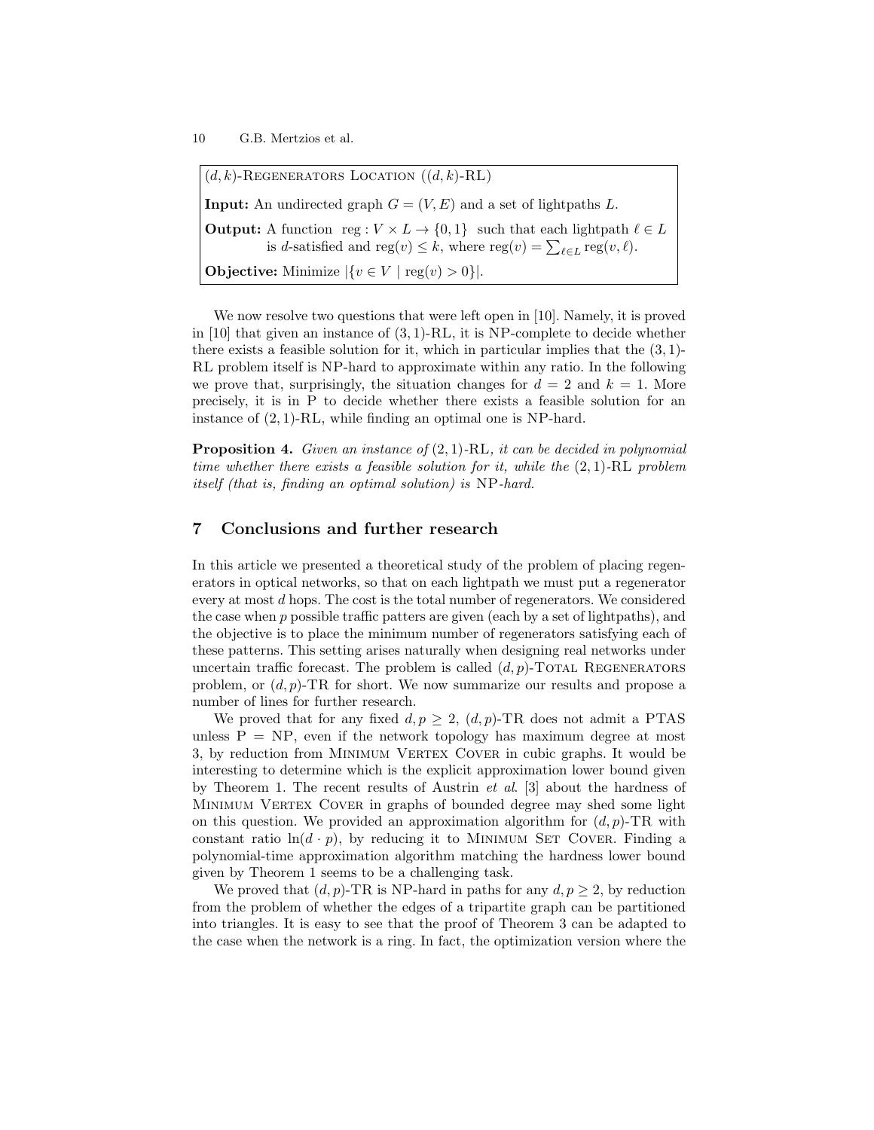$(d, k)$ -REGENERATORS LOCATION  $((d, k)$ -RL) **Input:** An undirected graph  $G = (V, E)$  and a set of lightpaths L. **Output:** A function  $reg : V \times L \rightarrow \{0, 1\}$  such that each lightpath  $\ell \in L$ is d-satisfied and reg $(v) \leq k$ , where reg $(v) = \sum_{\ell \in L} \text{reg}(v, \ell)$ . **Objective:** Minimize  $|\{v \in V \mid \text{reg}(v) > 0\}|$ .

We now resolve two questions that were left open in [10]. Namely, it is proved in  $[10]$  that given an instance of  $(3,1)$ -RL, it is NP-complete to decide whether there exists a feasible solution for it, which in particular implies that the  $(3, 1)$ -RL problem itself is NP-hard to approximate within any ratio. In the following we prove that, surprisingly, the situation changes for  $d = 2$  and  $k = 1$ . More precisely, it is in P to decide whether there exists a feasible solution for an instance of (2, 1)-RL, while finding an optimal one is NP-hard.

**Proposition 4.** Given an instance of  $(2, 1)$ -RL, it can be decided in polynomial time whether there exists a feasible solution for it, while the (2, 1)-RL problem itself (that is, finding an optimal solution) is NP-hard.

# 7 Conclusions and further research

In this article we presented a theoretical study of the problem of placing regenerators in optical networks, so that on each lightpath we must put a regenerator every at most d hops. The cost is the total number of regenerators. We considered the case when p possible traffic patters are given (each by a set of lightpaths), and the objective is to place the minimum number of regenerators satisfying each of these patterns. This setting arises naturally when designing real networks under uncertain traffic forecast. The problem is called  $(d, p)$ -TOTAL REGENERATORS problem, or  $(d, p)$ -TR for short. We now summarize our results and propose a number of lines for further research.

We proved that for any fixed  $d, p \geq 2$ ,  $(d, p)$ -TR does not admit a PTAS unless  $P = NP$ , even if the network topology has maximum degree at most 3, by reduction from MINIMUM VERTEX COVER in cubic graphs. It would be interesting to determine which is the explicit approximation lower bound given by Theorem 1. The recent results of Austrin et al. [3] about the hardness of Minimum Vertex Cover in graphs of bounded degree may shed some light on this question. We provided an approximation algorithm for  $(d, p)$ -TR with constant ratio  $ln(d \cdot p)$ , by reducing it to MINIMUM SET COVER. Finding a polynomial-time approximation algorithm matching the hardness lower bound given by Theorem 1 seems to be a challenging task.

We proved that  $(d, p)$ -TR is NP-hard in paths for any  $d, p \geq 2$ , by reduction from the problem of whether the edges of a tripartite graph can be partitioned into triangles. It is easy to see that the proof of Theorem 3 can be adapted to the case when the network is a ring. In fact, the optimization version where the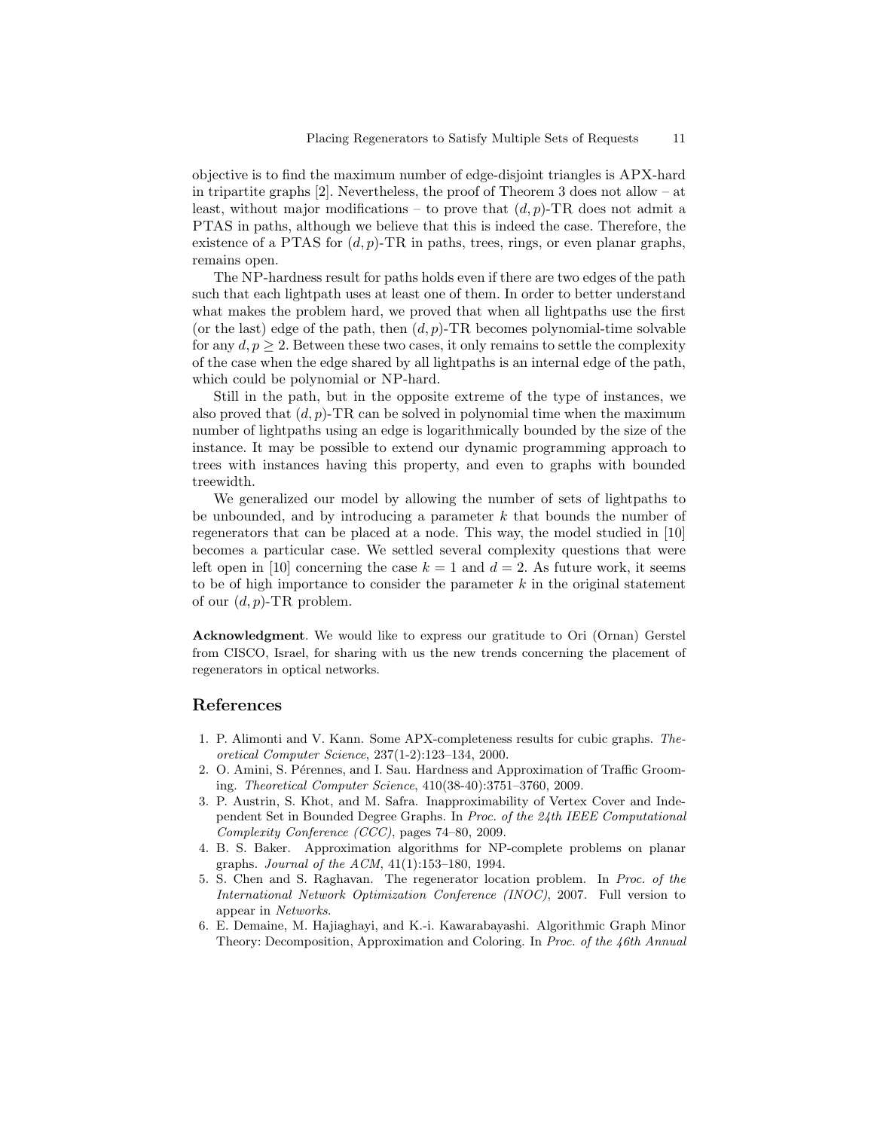objective is to find the maximum number of edge-disjoint triangles is APX-hard in tripartite graphs [2]. Nevertheless, the proof of Theorem 3 does not allow – at least, without major modifications – to prove that  $(d, p)$ -TR does not admit a PTAS in paths, although we believe that this is indeed the case. Therefore, the existence of a PTAS for  $(d, p)$ -TR in paths, trees, rings, or even planar graphs, remains open.

The NP-hardness result for paths holds even if there are two edges of the path such that each lightpath uses at least one of them. In order to better understand what makes the problem hard, we proved that when all lightpaths use the first (or the last) edge of the path, then  $(d, p)$ -TR becomes polynomial-time solvable for any  $d, p \geq 2$ . Between these two cases, it only remains to settle the complexity of the case when the edge shared by all lightpaths is an internal edge of the path, which could be polynomial or NP-hard.

Still in the path, but in the opposite extreme of the type of instances, we also proved that  $(d, p)$ -TR can be solved in polynomial time when the maximum number of lightpaths using an edge is logarithmically bounded by the size of the instance. It may be possible to extend our dynamic programming approach to trees with instances having this property, and even to graphs with bounded treewidth.

We generalized our model by allowing the number of sets of lightpaths to be unbounded, and by introducing a parameter  $k$  that bounds the number of regenerators that can be placed at a node. This way, the model studied in [10] becomes a particular case. We settled several complexity questions that were left open in [10] concerning the case  $k = 1$  and  $d = 2$ . As future work, it seems to be of high importance to consider the parameter  $k$  in the original statement of our  $(d, p)$ -TR problem.

Acknowledgment. We would like to express our gratitude to Ori (Ornan) Gerstel from CISCO, Israel, for sharing with us the new trends concerning the placement of regenerators in optical networks.

## References

- 1. P. Alimonti and V. Kann. Some APX-completeness results for cubic graphs. Theoretical Computer Science, 237(1-2):123–134, 2000.
- 2. O. Amini, S. Pérennes, and I. Sau. Hardness and Approximation of Traffic Grooming. Theoretical Computer Science, 410(38-40):3751–3760, 2009.
- 3. P. Austrin, S. Khot, and M. Safra. Inapproximability of Vertex Cover and Independent Set in Bounded Degree Graphs. In Proc. of the 24th IEEE Computational Complexity Conference (CCC), pages 74–80, 2009.
- 4. B. S. Baker. Approximation algorithms for NP-complete problems on planar graphs. Journal of the ACM, 41(1):153–180, 1994.
- 5. S. Chen and S. Raghavan. The regenerator location problem. In Proc. of the International Network Optimization Conference (INOC), 2007. Full version to appear in Networks.
- 6. E. Demaine, M. Hajiaghayi, and K.-i. Kawarabayashi. Algorithmic Graph Minor Theory: Decomposition, Approximation and Coloring. In Proc. of the 46th Annual